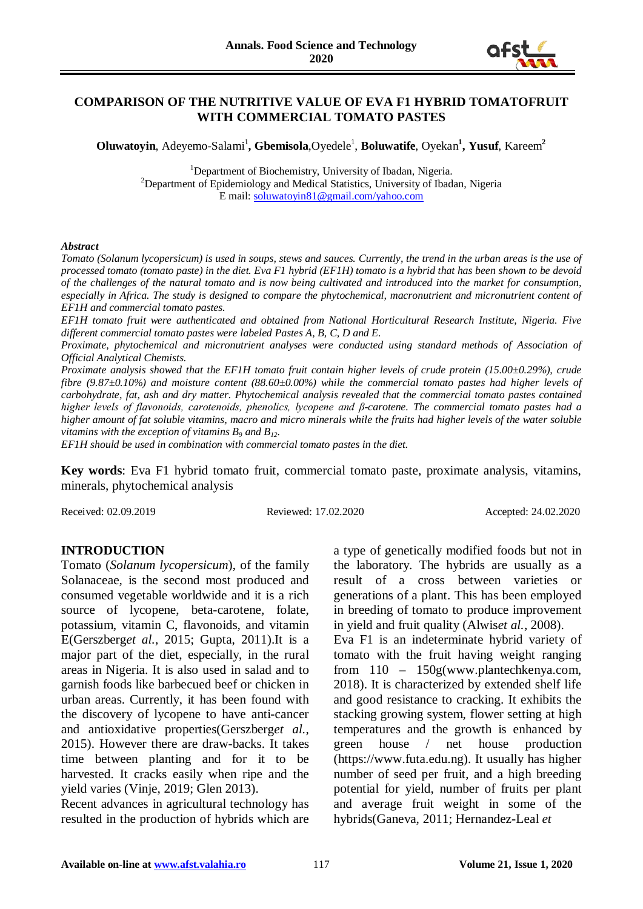

# **COMPARISON OF THE NUTRITIVE VALUE OF EVA F1 HYBRID TOMATOFRUIT WITH COMMERCIAL TOMATO PASTES**

**Oluwatoyin**, Adeyemo-Salami<sup>1</sup>, Gbemisola, Oyedele<sup>1</sup>, Boluwatife, Oyekan<sup>1</sup>, Yusuf, Kareem<sup>2</sup>

<sup>1</sup> Department of Biochemistry, University of Ibadan, Nigeria.<sup>2</sup><br><sup>2</sup> Department of Enidemialsex and Medical Statistics. University of Ibad  $^{2}$ Department of Epidemiology and Medical Statistics, University of Ibadan, Nigeria E mail[: soluwatoyin81@gmail.com/yahoo.com](mailto:soluwatoyin81@gmail.com/yahoo.com)

#### *Abstract*

*Tomato (Solanum lycopersicum) is used in soups, stews and sauces. Currently, the trend in the urban areas is the use of processed tomato (tomato paste) in the diet. Eva F1 hybrid (EF1H) tomato is a hybrid that has been shown to be devoid of the challenges of the natural tomato and is now being cultivated and introduced into the market for consumption, especially in Africa. The study is designed to compare the phytochemical, macronutrient and micronutrient content of EF1H and commercial tomato pastes.* 

*EF1H tomato fruit were authenticated and obtained from National Horticultural Research Institute, Nigeria. Five different commercial tomato pastes were labeled Pastes A, B, C, D and E.* 

*Proximate, phytochemical and micronutrient analyses were conducted using standard methods of Association of Official Analytical Chemists.*

*Proximate analysis showed that the EF1H tomato fruit contain higher levels of crude protein (15.00±0.29%), crude fibre (9.87±0.10%) and moisture content (88.60±0.00%) while the commercial tomato pastes had higher levels of carbohydrate, fat, ash and dry matter. Phytochemical analysis revealed that the commercial tomato pastes contained higher levels of flavonoids, carotenoids, phenolics, lycopene and β-carotene. The commercial tomato pastes had a higher amount of fat soluble vitamins, macro and micro minerals while the fruits had higher levels of the water soluble vitamins with the exception of vitamins*  $B_9$  *and*  $B_{12}$ *.* 

*EF1H should be used in combination with commercial tomato pastes in the diet.* 

**Key words**: Eva F1 hybrid tomato fruit, commercial tomato paste, proximate analysis, vitamins, minerals, phytochemical analysis

Received: 02.09.2019 Reviewed: 17.02.2020 Accepted: 24.02.2020

# **INTRODUCTION**

Tomato (*Solanum lycopersicum*), of the family Solanaceae, is the second most produced and consumed vegetable worldwide and it is a rich source of lycopene, beta-carotene, folate, potassium, vitamin C, flavonoids, and vitamin E(Gerszberg*et al.*, 2015; Gupta, 2011).It is a major part of the diet, especially, in the rural areas in Nigeria. It is also used in salad and to garnish foods like barbecued beef or chicken in urban areas. Currently, it has been found with the discovery of lycopene to have anti-cancer and antioxidative properties(Gerszberg*et al.*, 2015). However there are draw-backs. It takes time between planting and for it to be harvested. It cracks easily when ripe and the yield varies (Vinje, 2019; Glen 2013).

Recent advances in agricultural technology has resulted in the production of hybrids which are

a type of genetically modified foods but not in the laboratory. The hybrids are usually as a result of a cross between varieties or generations of a plant. This has been employed in breeding of tomato to produce improvement in yield and fruit quality (Alwis*et al.*, 2008).

Eva F1 is an indeterminate hybrid variety of tomato with the fruit having weight ranging from 110 – 150g(www.plantechkenya.com, 2018). It is characterized by extended shelf life and good resistance to cracking. It exhibits the stacking growing system, flower setting at high temperatures and the growth is enhanced by green house / net house production (https://www.futa.edu.ng). It usually has higher number of seed per fruit, and a high breeding potential for yield, number of fruits per plant and average fruit weight in some of the hybrids(Ganeva, 2011; Hernandez-Leal *et*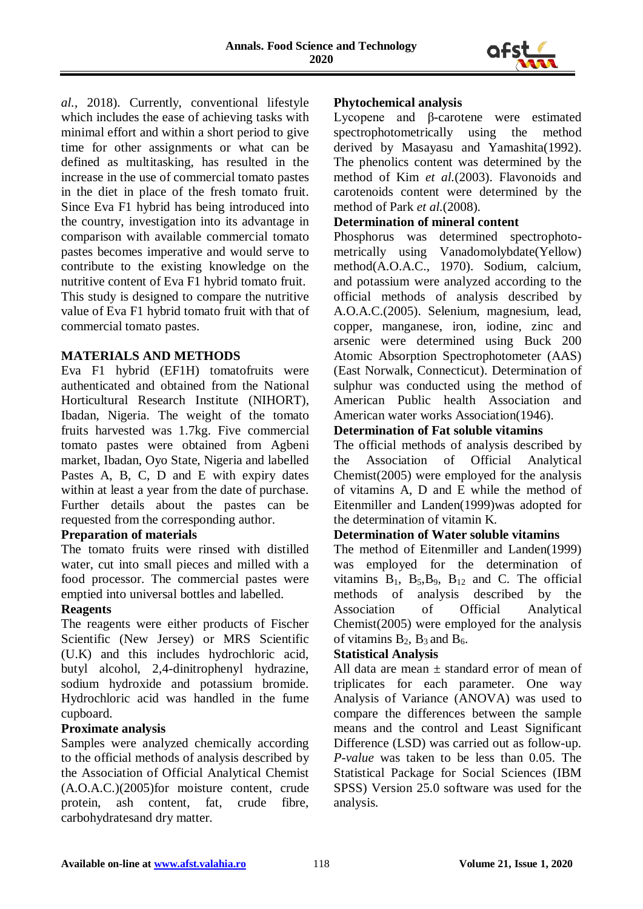

*al.*, 2018). Currently, conventional lifestyle which includes the ease of achieving tasks with minimal effort and within a short period to give time for other assignments or what can be defined as multitasking, has resulted in the increase in the use of commercial tomato pastes in the diet in place of the fresh tomato fruit. Since Eva F1 hybrid has being introduced into the country, investigation into its advantage in comparison with available commercial tomato pastes becomes imperative and would serve to contribute to the existing knowledge on the nutritive content of Eva F1 hybrid tomato fruit. This study is designed to compare the nutritive value of Eva F1 hybrid tomato fruit with that of commercial tomato pastes.

# **MATERIALS AND METHODS**

Eva F1 hybrid (EF1H) tomatofruits were authenticated and obtained from the National Horticultural Research Institute (NIHORT), Ibadan, Nigeria. The weight of the tomato fruits harvested was 1.7kg. Five commercial tomato pastes were obtained from Agbeni market, Ibadan, Oyo State, Nigeria and labelled Pastes A, B, C, D and E with expiry dates within at least a year from the date of purchase. Further details about the pastes can be requested from the corresponding author.

# **Preparation of materials**

The tomato fruits were rinsed with distilled water, cut into small pieces and milled with a food processor. The commercial pastes were emptied into universal bottles and labelled.

# **Reagents**

The reagents were either products of Fischer Scientific (New Jersey) or MRS Scientific (U.K) and this includes hydrochloric acid, butyl alcohol, 2,4-dinitrophenyl hydrazine, sodium hydroxide and potassium bromide. Hydrochloric acid was handled in the fume cupboard.

# **Proximate analysis**

Samples were analyzed chemically according to the official methods of analysis described by the Association of Official Analytical Chemist (A.O.A.C.)(2005)for moisture content, crude protein, ash content, fat, crude fibre, carbohydratesand dry matter.

# **Phytochemical analysis**

Lycopene and β-carotene were estimated spectrophotometrically using the method derived by Masayasu and Yamashita(1992). The phenolics content was determined by the method of Kim *et al.*(2003). Flavonoids and carotenoids content were determined by the method of Park *et al.*(2008).

# **Determination of mineral content**

Phosphorus was determined spectrophotometrically using Vanadomolybdate(Yellow) method(A.O.A.C., 1970). Sodium, calcium, and potassium were analyzed according to the official methods of analysis described by A.O.A.C.(2005). Selenium, magnesium, lead, copper, manganese, iron, iodine, zinc and arsenic were determined using Buck 200 Atomic Absorption Spectrophotometer (AAS) (East Norwalk, Connecticut). Determination of sulphur was conducted using the method of American Public health Association and American water works Association(1946).

# **Determination of Fat soluble vitamins**

The official methods of analysis described by the Association of Official Analytical Chemist(2005) were employed for the analysis of vitamins A, D and E while the method of Eitenmiller and Landen(1999)was adopted for the determination of vitamin K.

# **Determination of Water soluble vitamins**

The method of Eitenmiller and Landen(1999) was employed for the determination of vitamins  $B_1$ ,  $B_5$ ,  $B_9$ ,  $B_{12}$  and C. The official methods of analysis described by the Association of Official Analytical Chemist(2005) were employed for the analysis of vitamins  $B_2$ ,  $B_3$  and  $B_6$ .

# **Statistical Analysis**

All data are mean  $\pm$  standard error of mean of triplicates for each parameter. One way Analysis of Variance (ANOVA) was used to compare the differences between the sample means and the control and Least Significant Difference (LSD) was carried out as follow-up. *P-value* was taken to be less than 0.05. The Statistical Package for Social Sciences (IBM SPSS) Version 25.0 software was used for the analysis.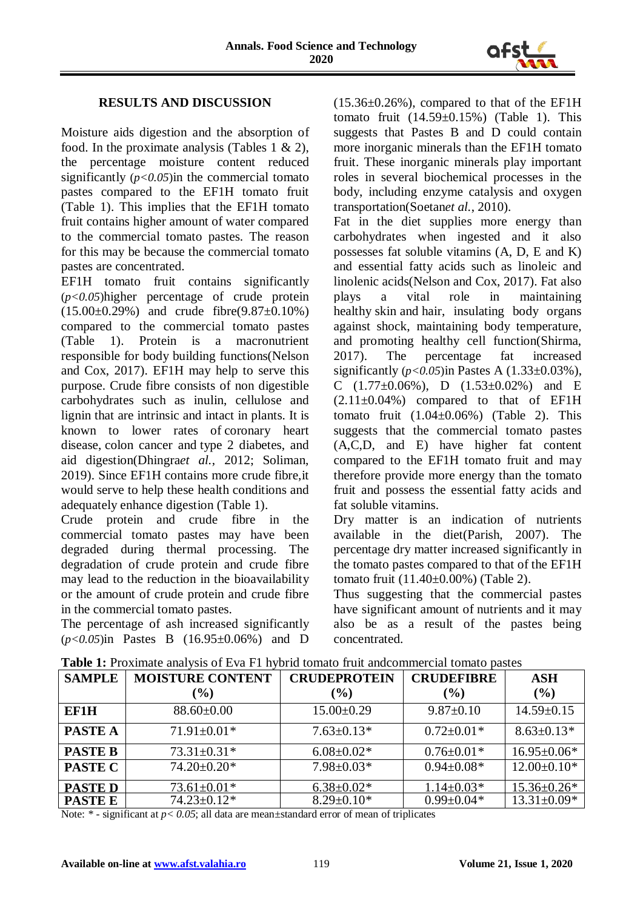

### **RESULTS AND DISCUSSION**

Moisture aids digestion and the absorption of food. In the proximate analysis (Tables 1  $\&$  2), the percentage moisture content reduced significantly  $(p<0.05)$  in the commercial tomato pastes compared to the EF1H tomato fruit (Table 1). This implies that the EF1H tomato fruit contains higher amount of water compared to the commercial tomato pastes. The reason for this may be because the commercial tomato pastes are concentrated.

EF1H tomato fruit contains significantly (*p<0.05*)higher percentage of crude protein (15.00±0.29%) and crude fibre(9.87±0.10%) compared to the commercial tomato pastes (Table 1). Protein is a macronutrient responsible for body building functions(Nelson and Cox, 2017). EF1H may help to serve this purpose. Crude fibre consists of non digestible carbohydrates such as inulin, cellulose and lignin that are intrinsic and intact in plants. It is known to lower rates of coronary heart disease, colon cancer and type 2 diabetes, and aid digestion(Dhingra*et al.*, 2012; Soliman, 2019). Since EF1H contains more crude fibre,it would serve to help these health conditions and adequately enhance digestion (Table 1).

Crude protein and crude fibre in the commercial tomato pastes may have been degraded during thermal processing. The degradation of crude protein and crude fibre may lead to the reduction in the bioavailability or the amount of crude protein and crude fibre in the commercial tomato pastes.

The percentage of ash increased significantly (*p<0.05*)in Pastes B (16.95±0.06%) and D  $(15.36\pm0.26\%)$ , compared to that of the EF1H tomato fruit  $(14.59\pm0.15\%)$  (Table 1). This suggests that Pastes B and D could contain more inorganic minerals than the EF1H tomato fruit. These inorganic minerals play important roles in several biochemical processes in the body, including enzyme catalysis and oxygen transportation(Soetan*et al.*, 2010).

Fat in the diet supplies more energy than carbohydrates when ingested and it also possesses fat soluble vitamins (A, D, E and K) and essential fatty acids such as linoleic and linolenic acids(Nelson and Cox, 2017). Fat also plays a vital role in maintaining healthy skin and hair, insulating body organs against shock, maintaining body temperature, and promoting healthy cell function(Shirma, 2017). The percentage fat increased significantly  $(p<0.05)$ in Pastes A  $(1.33\pm0.03\%)$ , C  $(1.77\pm0.06\%)$ , D  $(1.53\pm0.02\%)$  and E  $(2.11\pm0.04\%)$  compared to that of EF1H tomato fruit  $(1.04\pm0.06\%)$  (Table 2). This suggests that the commercial tomato pastes (A,C,D, and E) have higher fat content compared to the EF1H tomato fruit and may therefore provide more energy than the tomato fruit and possess the essential fatty acids and fat soluble vitamins.

Dry matter is an indication of nutrients available in the diet(Parish, 2007). The percentage dry matter increased significantly in the tomato pastes compared to that of the EF1H tomato fruit (11.40±0.00%) (Table 2).

Thus suggesting that the commercial pastes have significant amount of nutrients and it may also be as a result of the pastes being concentrated.

| <b>SAMPLE</b>  | <b>MOISTURE CONTENT</b> | <b>CRUDEPROTEIN</b> | <b>CRUDEFIBRE</b> | <b>ASH</b>        |
|----------------|-------------------------|---------------------|-------------------|-------------------|
|                | (%)                     | $(\%)$              | $(\%)$            | (%)               |
| EF1H           | $88.60 \pm 0.00$        | $15.00 \pm 0.29$    | $9.87 \pm 0.10$   | $14.59 \pm 0.15$  |
| <b>PASTE A</b> | $71.91 \pm 0.01*$       | $7.63 \pm 0.13*$    | $0.72 \pm 0.01*$  | $8.63 \pm 0.13*$  |
| <b>PASTE B</b> | $73.31 \pm 0.31*$       | $6.08 \pm 0.02*$    | $0.76 \pm 0.01*$  | $16.95 \pm 0.06*$ |
| <b>PASTE C</b> | $74.20 \pm 0.20*$       | $7.98 \pm 0.03*$    | $0.94 \pm 0.08*$  | $12.00 \pm 0.10*$ |
| <b>PASTED</b>  | $73.61 \pm 0.01*$       | $6.38 \pm 0.02*$    | $1.14 \pm 0.03*$  | 15.36±0.26*       |
| <b>PASTE E</b> | $74.23 \pm 0.12*$       | $8.29 \pm 0.10*$    | $0.99 \pm 0.04*$  | $13.31 \pm 0.09*$ |

**Table 1:** Proximate analysis of Eva F1 hybrid tomato fruit andcommercial tomato pastes

Note:  $*$  - significant at  $p < 0.05$ ; all data are mean $\pm$ standard error of mean of triplicates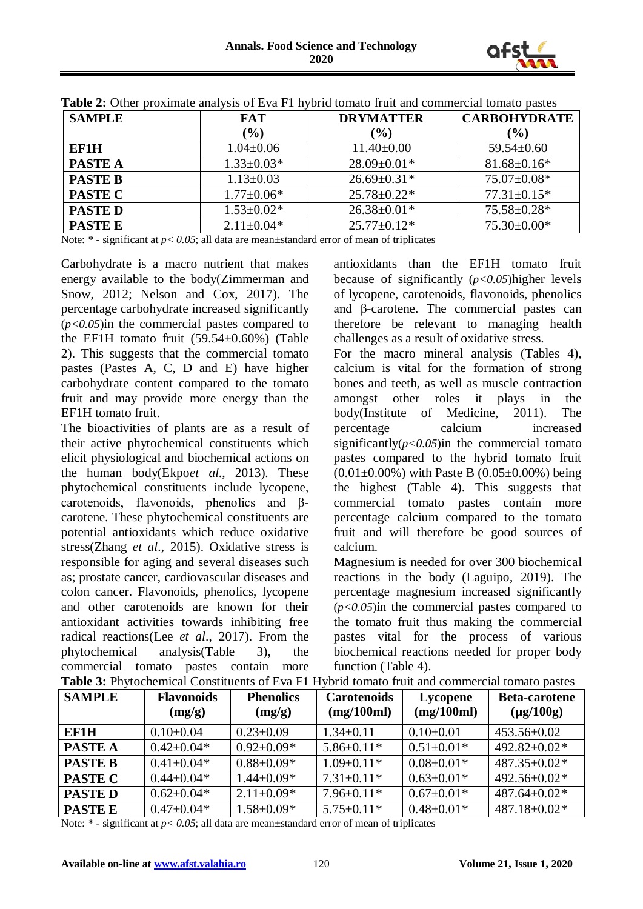

| <b>SAMPLE</b>  | <b>FAT</b>       | <b>DRYMATTER</b>  | <b>CARBOHYDRATE</b> |
|----------------|------------------|-------------------|---------------------|
|                | (%)              | $(\%)$            | $(\%)$              |
| EF1H           | $1.04 \pm 0.06$  | $11.40 \pm 0.00$  | $59.54 \pm 0.60$    |
| <b>PASTE A</b> | $1.33 \pm 0.03*$ | $28.09 \pm 0.01*$ | $81.68 \pm 0.16*$   |
| <b>PASTE B</b> | $1.13 \pm 0.03$  | $26.69 \pm 0.31*$ | $75.07 \pm 0.08*$   |
| <b>PASTE C</b> | $1.77 \pm 0.06*$ | $25.78 \pm 0.22*$ | $77.31 \pm 0.15*$   |
| <b>PASTED</b>  | $1.53 \pm 0.02*$ | $26.38 \pm 0.01*$ | $75.58 \pm 0.28$ *  |
| <b>PASTE E</b> | $2.11 \pm 0.04*$ | $25.77 \pm 0.12*$ | $75.30\pm0.00*$     |

| <b>Table 2:</b> Other proximate analysis of Eva F1 hybrid tomato fruit and commercial tomato pastes |  |  |
|-----------------------------------------------------------------------------------------------------|--|--|
|-----------------------------------------------------------------------------------------------------|--|--|

Note:  $*$  - significant at  $p < 0.05$ ; all data are mean $\pm$ standard error of mean of triplicates

Carbohydrate is a macro nutrient that makes energy available to the body(Zimmerman and Snow, 2012; Nelson and Cox, 2017). The percentage carbohydrate increased significantly (*p<0.05*)in the commercial pastes compared to the EF1H tomato fruit  $(59.54\pm0.60\%)$  (Table 2). This suggests that the commercial tomato pastes (Pastes A, C, D and E) have higher carbohydrate content compared to the tomato fruit and may provide more energy than the EF1H tomato fruit.

The bioactivities of plants are as a result of their active phytochemical constituents which elicit physiological and biochemical actions on the human body(Ekpo*et al*., 2013). These phytochemical constituents include lycopene, carotenoids, flavonoids, phenolics and βcarotene. These phytochemical constituents are potential antioxidants which reduce oxidative stress(Zhang *et al*., 2015). Oxidative stress is responsible for aging and several diseases such as; prostate cancer, cardiovascular diseases and colon cancer. Flavonoids, phenolics, lycopene and other carotenoids are known for their antioxidant activities towards inhibiting free radical reactions(Lee *et al*., 2017). From the phytochemical analysis(Table 3), the commercial tomato pastes contain more antioxidants than the EF1H tomato fruit because of significantly (*p<0.05*)higher levels of lycopene, carotenoids, flavonoids, phenolics and β-carotene. The commercial pastes can therefore be relevant to managing health challenges as a result of oxidative stress.

For the macro mineral analysis (Tables 4), calcium is vital for the formation of strong bones and teeth, as well as muscle contraction amongst other roles it plays in the body(Institute of Medicine, 2011). The percentage calcium increased significantly $(p<0.05)$ in the commercial tomato pastes compared to the hybrid tomato fruit  $(0.01\pm0.00\%)$  with Paste B  $(0.05\pm0.00\%)$  being the highest (Table 4). This suggests that commercial tomato pastes contain more percentage calcium compared to the tomato fruit and will therefore be good sources of calcium.

Magnesium is needed for over 300 biochemical reactions in the body (Laguipo, 2019). The percentage magnesium increased significantly (*p<0.05*)in the commercial pastes compared to the tomato fruit thus making the commercial pastes vital for the process of various biochemical reactions needed for proper body function (Table 4).

| <b>SAMPLE</b>  | <b>Flavonoids</b><br>(mg/g) | <b>Phenolics</b><br>(mg/g) | <b>Carotenoids</b><br>(mg/100ml) | <b>Lycopene</b><br>(mg/100ml) | <b>Beta-carotene</b><br>$(\mu g/100g)$ |
|----------------|-----------------------------|----------------------------|----------------------------------|-------------------------------|----------------------------------------|
| EF1H           | $0.10\pm 0.04$              | $0.23 \pm 0.09$            | $1.34 \pm 0.11$                  | $0.10\pm0.01$                 | $453.56 \pm 0.02$                      |
| <b>PASTE A</b> | $0.42 \pm 0.04*$            | $0.92 \pm 0.09*$           | $5.86 \pm 0.11*$                 | $0.51 \pm 0.01*$              | $492.82 \pm 0.02*$                     |
| <b>PASTE B</b> | $0.41 \pm 0.04*$            | $0.88 \pm 0.09*$           | $1.09 \pm 0.11*$                 | $0.08 \pm 0.01*$              | $487.35 \pm 0.02*$                     |
| <b>PASTE C</b> | $0.44 \pm 0.04*$            | $1.44 \pm 0.09*$           | $7.31 \pm 0.11*$                 | $0.63 \pm 0.01*$              | 492.56±0.02*                           |
| <b>PASTED</b>  | $0.62 \pm 0.04*$            | $2.11 \pm 0.09*$           | $7.96 \pm 0.11*$                 | $0.67 \pm 0.01*$              | $487.64 \pm 0.02*$                     |
| <b>PASTE E</b> | $0.47 \pm 0.04*$            | $1.58 \pm 0.09*$           | $5.75 \pm 0.11*$                 | $0.48 \pm 0.01*$              | $487.18 \pm 0.02*$                     |

**Table 3:** Phytochemical Constituents of Eva F1 Hybrid tomato fruit and commercial tomato pastes

Note: \* - significant at  $p < 0.05$ ; all data are mean±standard error of mean of triplicates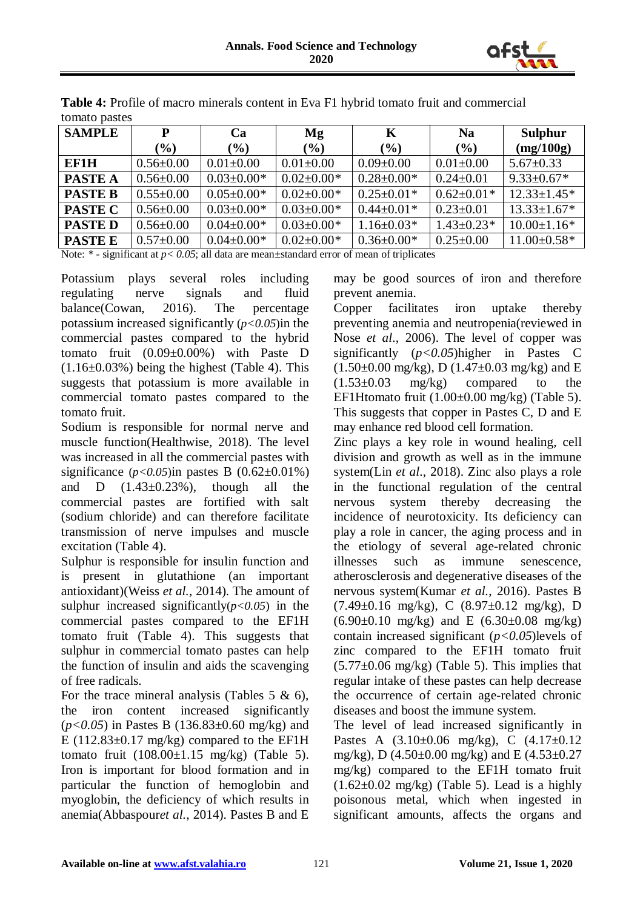

| <b>SAMPLE</b>  | P               | Ca               | Mg               | K                | <b>Na</b>        | <b>Sulphur</b>    |
|----------------|-----------------|------------------|------------------|------------------|------------------|-------------------|
|                | $(\%)$          | $(\%)$           | $(\%)$           | $(\%)$           | $(\%)$           | (mg/100g)         |
| EF1H           | $0.56 \pm 0.00$ | $0.01 \pm 0.00$  | $0.01 \pm 0.00$  | $0.09 \pm 0.00$  | $0.01 + 0.00$    | $5.67 \pm 0.33$   |
| <b>PASTE A</b> | $0.56 \pm 0.00$ | $0.03 \pm 0.00*$ | $0.02 \pm 0.00*$ | $0.28 \pm 0.00*$ | $0.24 \pm 0.01$  | $9.33 \pm 0.67*$  |
| <b>PASTE B</b> | $0.55 \pm 0.00$ | $0.05 \pm 0.00*$ | $0.02 \pm 0.00*$ | $0.25 \pm 0.01*$ | $0.62 \pm 0.01*$ | $12.33 \pm 1.45*$ |
| <b>PASTE C</b> | $0.56 \pm 0.00$ | $0.03 \pm 0.00*$ | $0.03 \pm 0.00*$ | $0.44 \pm 0.01*$ | $0.23 \pm 0.01$  | $13.33 \pm 1.67*$ |
| <b>PASTED</b>  | $0.56 \pm 0.00$ | $0.04 \pm 0.00*$ | $0.03 \pm 0.00*$ | $1.16 \pm 0.03*$ | $1.43 \pm 0.23*$ | $10.00 \pm 1.16*$ |
| <b>PASTEE</b>  | $0.57 \pm 0.00$ | $0.04 \pm 0.00*$ | $0.02 \pm 0.00*$ | $0.36 \pm 0.00*$ | $0.25 \pm 0.00$  | $11.00 \pm 0.58*$ |

**Table 4:** Profile of macro minerals content in Eva F1 hybrid tomato fruit and commercial tomato pastes

Note: \* - significant at  $p < 0.05$ ; all data are mean $\pm$ standard error of mean of triplicates

Potassium plays several roles including regulating nerve signals and fluid balance(Cowan, 2016). The percentage potassium increased significantly (*p<0.05*)in the commercial pastes compared to the hybrid tomato fruit (0.09±0.00%) with Paste D  $(1.16\pm0.03\%)$  being the highest (Table 4). This suggests that potassium is more available in commercial tomato pastes compared to the tomato fruit.

Sodium is responsible for normal nerve and muscle function(Healthwise, 2018). The level was increased in all the commercial pastes with significance  $(p<0.05)$ in pastes B  $(0.62 \pm 0.01\%)$ and D  $(1.43\pm0.23\%)$ , though all the commercial pastes are fortified with salt (sodium chloride) and can therefore facilitate transmission of nerve impulses and muscle excitation (Table 4).

Sulphur is responsible for insulin function and is present in glutathione (an important antioxidant)(Weiss *et al.*, 2014). The amount of sulphur increased significantly $(p<0.05)$  in the commercial pastes compared to the EF1H tomato fruit (Table 4). This suggests that sulphur in commercial tomato pastes can help the function of insulin and aids the scavenging of free radicals.

For the trace mineral analysis (Tables  $5 \& 6$ ), the iron content increased significantly (*p<0.05*) in Pastes B (136.83±0.60 mg/kg) and E  $(112.83\pm0.17 \text{ mg/kg})$  compared to the EF1H tomato fruit  $(108.00\pm1.15 \text{ mg/kg})$  (Table 5). Iron is important for blood formation and in particular the function of hemoglobin and myoglobin, the deficiency of which results in anemia(Abbaspour*et al.*, 2014). Pastes B and E

may be good sources of iron and therefore prevent anemia.

Copper facilitates iron uptake thereby preventing anemia and neutropenia(reviewed in Nose *et al*., 2006). The level of copper was significantly (*p<0.05*)higher in Pastes C  $(1.50\pm0.00 \text{ mg/kg})$ , D $(1.47\pm0.03 \text{ mg/kg})$  and E  $(1.53\pm0.03 \text{ mg/kg})$  compared to the EF1Htomato fruit  $(1.00\pm 0.00$  mg/kg) (Table 5). This suggests that copper in Pastes C, D and E may enhance red blood cell formation.

Zinc plays a key role in wound healing, cell division and growth as well as in the immune system(Lin *et al*., 2018). Zinc also plays a role in the functional regulation of the central nervous system thereby decreasing the incidence of neurotoxicity. Its deficiency can play a role in cancer, the aging process and in the etiology of several age-related chronic illnesses such as immune senescence, atherosclerosis and degenerative diseases of the nervous system(Kumar *et al.*, 2016). Pastes B (7.49±0.16 mg/kg), C (8.97±0.12 mg/kg), D  $(6.90\pm0.10 \text{ mg/kg})$  and E  $(6.30\pm0.08 \text{ mg/kg})$ contain increased significant (*p<0.05*)levels of zinc compared to the EF1H tomato fruit  $(5.77\pm0.06 \text{ mg/kg})$  (Table 5). This implies that regular intake of these pastes can help decrease the occurrence of certain age-related chronic diseases and boost the immune system.

The level of lead increased significantly in Pastes A (3.10±0.06 mg/kg), C (4.17±0.12 mg/kg), D  $(4.50\pm0.00 \text{ mg/kg})$  and E  $(4.53\pm0.27 \text{ m})$ mg/kg) compared to the EF1H tomato fruit  $(1.62\pm0.02 \text{ mg/kg})$  (Table 5). Lead is a highly poisonous metal, which when ingested in significant amounts, affects the organs and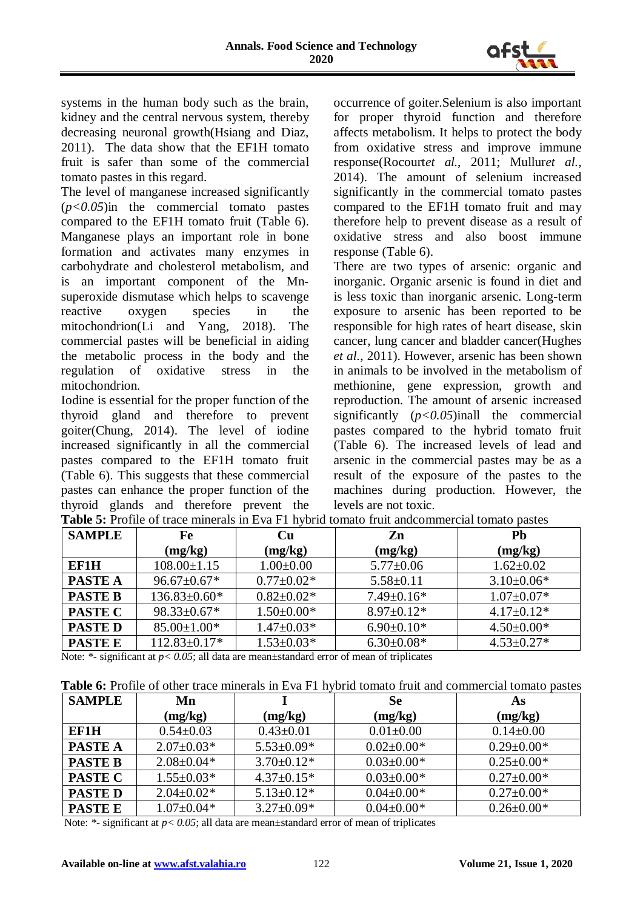

systems in the human body such as the brain, kidney and the central nervous system, thereby decreasing neuronal growth(Hsiang and Diaz, 2011). The data show that the EF1H tomato fruit is safer than some of the commercial tomato pastes in this regard.

The level of manganese increased significantly (*p<0.05*)in the commercial tomato pastes compared to the EF1H tomato fruit (Table 6). Manganese plays an important role in bone formation and activates many enzymes in carbohydrate and cholesterol metabolism, and is an important component of the Mnsuperoxide dismutase which helps to scavenge reactive oxygen species in the mitochondrion(Li and Yang, 2018). The commercial pastes will be beneficial in aiding the metabolic process in the body and the regulation of oxidative stress in the mitochondrion.

Iodine is essential for the proper function of the thyroid gland and therefore to prevent goiter(Chung, 2014). The level of iodine increased significantly in all the commercial pastes compared to the EF1H tomato fruit (Table 6). This suggests that these commercial pastes can enhance the proper function of the thyroid glands and therefore prevent the occurrence of goiter.Selenium is also important for proper thyroid function and therefore affects metabolism. It helps to protect the body from oxidative stress and improve immune response(Rocourt*et al.*, 2011; Mullur*et al.*, 2014). The amount of selenium increased significantly in the commercial tomato pastes compared to the EF1H tomato fruit and may therefore help to prevent disease as a result of oxidative stress and also boost immune response (Table 6).

There are two types of arsenic: organic and inorganic. Organic arsenic is found in diet and is less toxic than inorganic arsenic. Long-term exposure to arsenic has been reported to be responsible for high rates of heart disease, skin cancer, lung cancer and bladder cancer(Hughes *et al.*, 2011). However, arsenic has been shown in animals to be involved in the metabolism of methionine, gene expression, growth and reproduction. The amount of arsenic increased significantly (*p<0.05*)inall the commercial pastes compared to the hybrid tomato fruit (Table 6). The increased levels of lead and arsenic in the commercial pastes may be as a result of the exposure of the pastes to the machines during production. However, the levels are not toxic.

| <b>SAMPLE</b>  | Fe                 | <b>Cu</b>        | Zn               | Pb               |
|----------------|--------------------|------------------|------------------|------------------|
|                | (mg/kg)            | (mg/kg)          | (mg/kg)          | (mg/kg)          |
| EF1H           | $108.00 \pm 1.15$  | $1.00 \pm 0.00$  | $5.77 \pm 0.06$  | $1.62 \pm 0.02$  |
| <b>PASTE A</b> | $96.67 \pm 0.67$ * | $0.77 \pm 0.02*$ | $5.58 \pm 0.11$  | $3.10\pm0.06*$   |
| <b>PASTE B</b> | $136.83 \pm 0.60*$ | $0.82 \pm 0.02*$ | $7.49 \pm 0.16*$ | $1.07 \pm 0.07*$ |
| <b>PASTE C</b> | $98.33 \pm 0.67*$  | $1.50 \pm 0.00*$ | $8.97 \pm 0.12*$ | $4.17 \pm 0.12*$ |
| <b>PASTED</b>  | $85.00 \pm 1.00*$  | $1.47 \pm 0.03*$ | $6.90\pm0.10*$   | $4.50\pm0.00*$   |
| <b>PASTE E</b> | $112.83 \pm 0.17*$ | $1.53 \pm 0.03*$ | $6.30\pm0.08*$   | $4.53 \pm 0.27*$ |

Table 5: Profile of trace minerals in Eva F1 hybrid tomato fruit and commercial tomato pastes

Note: \*- significant at  $p < 0.05$ ; all data are mean $\pm$ standard error of mean of triplicates

| <b>SAMPLE</b>  | Mn               |                  | Se               | As               |
|----------------|------------------|------------------|------------------|------------------|
|                | (mg/kg)          | (mg/kg)          | (mg/kg)          | (mg/kg)          |
| <b>EF1H</b>    | $0.54 \pm 0.03$  | $0.43 \pm 0.01$  | $0.01 \pm 0.00$  | $0.14 \pm 0.00$  |
| <b>PASTE A</b> | $2.07 \pm 0.03*$ | $5.53 \pm 0.09*$ | $0.02 \pm 0.00*$ | $0.29 \pm 0.00*$ |
| <b>PASTE B</b> | $2.08 \pm 0.04*$ | $3.70 \pm 0.12*$ | $0.03 \pm 0.00*$ | $0.25 \pm 0.00*$ |
| <b>PASTE C</b> | $1.55 \pm 0.03*$ | $4.37 \pm 0.15*$ | $0.03 \pm 0.00*$ | $0.27 \pm 0.00*$ |
| <b>PASTED</b>  | $2.04 \pm 0.02*$ | $5.13 \pm 0.12*$ | $0.04 \pm 0.00*$ | $0.27 \pm 0.00*$ |
| <b>PASTE E</b> | $1.07 \pm 0.04*$ | $3.27 \pm 0.09*$ | $0.04 \pm 0.00*$ | $0.26 \pm 0.00*$ |

Note: \*- significant at  $p < 0.05$ ; all data are mean±standard error of mean of triplicates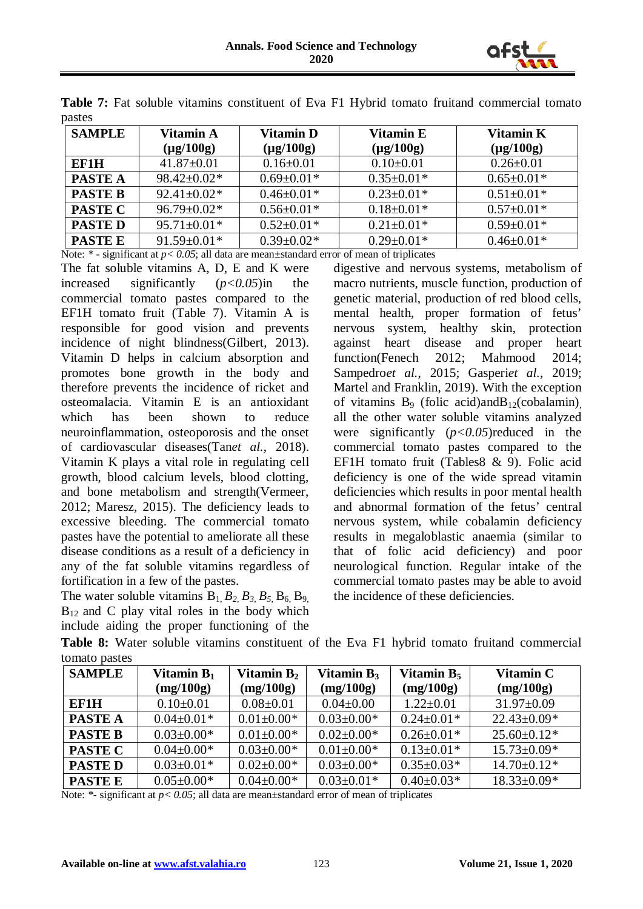

| <b>SAMPLE</b>  | Vitamin A<br>$(\mu$ g/100g) | <b>Vitamin D</b><br>$(\mu g/100g)$ | Vitamin E<br>$(\mu$ g/100g) | Vitamin K<br>$(\mu g/100g)$ |
|----------------|-----------------------------|------------------------------------|-----------------------------|-----------------------------|
| EF1H           | $41.87 \pm 0.01$            | $0.16 \pm 0.01$                    | $0.10\pm0.01$               | $0.26 \pm 0.01$             |
| <b>PASTE A</b> | $98.42 \pm 0.02*$           | $0.69 \pm 0.01*$                   | $0.35 \pm 0.01*$            | $0.65 \pm 0.01*$            |
| <b>PASTE B</b> | $92.41 \pm 0.02*$           | $0.46 \pm 0.01*$                   | $0.23 \pm 0.01*$            | $0.51 \pm 0.01*$            |
| <b>PASTE C</b> | $96.79 \pm 0.02*$           | $0.56 \pm 0.01*$                   | $0.18 \pm 0.01*$            | $0.57 \pm 0.01*$            |
| <b>PASTED</b>  | $95.71 \pm 0.01*$           | $0.52 \pm 0.01*$                   | $0.21 \pm 0.01*$            | $0.59 \pm 0.01*$            |
| <b>PASTE E</b> | $91.59 \pm 0.01*$           | $0.39 \pm 0.02*$                   | $0.29 \pm 0.01*$            | $0.46 \pm 0.01*$            |

Table 7: Fat soluble vitamins constituent of Eva F1 Hybrid tomato fruitand commercial tomato pastes

Note:  $*$  - significant at  $p < 0.05$ ; all data are mean $\pm$ standard error of mean of triplicates

The fat soluble vitamins A, D, E and K were increased significantly (*p<0.05*)in the commercial tomato pastes compared to the EF1H tomato fruit (Table 7). Vitamin A is responsible for good vision and prevents incidence of night blindness(Gilbert, 2013). Vitamin D helps in calcium absorption and promotes bone growth in the body and therefore prevents the incidence of ricket and osteomalacia. Vitamin E is an antioxidant which has been shown to reduce neuroinflammation, osteoporosis and the onset of cardiovascular diseases(Tan*et al.*, 2018). Vitamin K plays a vital role in regulating cell growth, blood calcium levels, blood clotting, and bone metabolism and strength(Vermeer, 2012; Maresz, 2015). The deficiency leads to excessive bleeding. The commercial tomato pastes have the potential to ameliorate all these disease conditions as a result of a deficiency in any of the fat soluble vitamins regardless of fortification in a few of the pastes.

The water soluble vitamins  $B_1$ ,  $B_2$ ,  $B_3$ ,  $B_5$ ,  $B_6$ ,  $B_9$ ,  $B_{12}$  and C play vital roles in the body which include aiding the proper functioning of the

digestive and nervous systems, metabolism of macro nutrients, muscle function, production of genetic material, production of red blood cells, mental health, proper formation of fetus' nervous system, healthy skin, protection against heart disease and proper heart function(Fenech 2012; Mahmood 2014; Sampedro*et al.*, 2015; Gasperiet al., 2019; Martel and Franklin, 2019). With the exception of vitamins  $B_9$  (folic acid)and $B_{12}$ (cobalamin) all the other water soluble vitamins analyzed were significantly (*p<0.05*)reduced in the commercial tomato pastes compared to the EF1H tomato fruit (Tables8 & 9). Folic acid deficiency is one of the wide spread vitamin deficiencies which results in poor mental health and abnormal formation of the fetus' central nervous system, while cobalamin deficiency results in megaloblastic anaemia (similar to that of folic acid deficiency) and poor neurological function. Regular intake of the commercial tomato pastes may be able to avoid the incidence of these deficiencies.

| <b>SAMPLE</b>  | Vitamin $B_1$<br>(mg/100g) | Vitamin $B_2$<br>(mg/100g) | Vitamin $B_3$<br>(mg/100g) | Vitamin $B_5$<br>(mg/100g) | Vitamin C<br>(mg/100g) |
|----------------|----------------------------|----------------------------|----------------------------|----------------------------|------------------------|
| EF1H           | $0.10\pm0.01$              | $0.08 \pm 0.01$            | $0.04 \pm 0.00$            | $1.22 \pm 0.01$            | $31.97 \pm 0.09$       |
| <b>PASTE A</b> | $0.04 \pm 0.01*$           | $0.01 \pm 0.00*$           | $0.03 \pm 0.00*$           | $0.24 \pm 0.01*$           | $22.43 \pm 0.09*$      |
| <b>PASTE B</b> | $0.03 \pm 0.00*$           | $0.01 \pm 0.00*$           | $0.02 \pm 0.00*$           | $0.26 \pm 0.01*$           | $25.60 \pm 0.12*$      |
| <b>PASTE C</b> | $0.04 \pm 0.00*$           | $0.03 \pm 0.00*$           | $0.01 \pm 0.00*$           | $0.13 \pm 0.01*$           | $15.73 \pm 0.09*$      |
| <b>PASTED</b>  | $0.03 \pm 0.01*$           | $0.02 \pm 0.00*$           | $0.03 \pm 0.00*$           | $0.35 \pm 0.03*$           | $14.70 \pm 0.12*$      |
| <b>PASTE E</b> | $0.05 \pm 0.00*$           | $0.04 \pm 0.00*$           | $0.03 \pm 0.01*$           | $0.40 \pm 0.03*$           | $18.33 \pm 0.09*$      |

**Table 8:** Water soluble vitamins constituent of the Eva F1 hybrid tomato fruitand commercial tomato pastes

Note: \*- significant at  $p < 0.05$ ; all data are mean $\pm$ standard error of mean of triplicates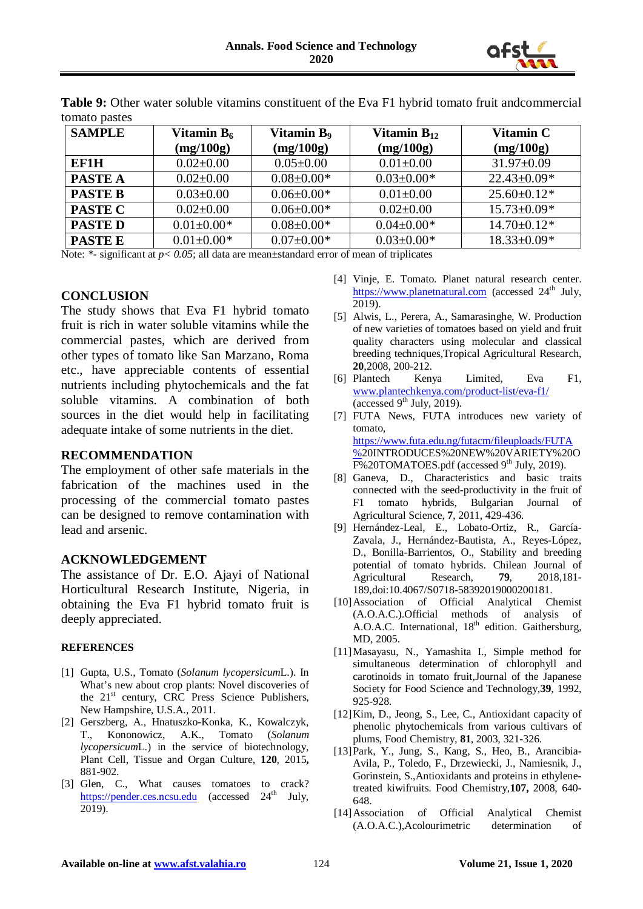

| <b>SAMPLE</b>  | Vitamin $B_6$<br>(mg/100g) | <b>Vitamin B</b> <sub>9</sub><br>(mg/100g) | Vitamin $B_{12}$<br>(mg/100g) | Vitamin C<br>(mg/100g) |
|----------------|----------------------------|--------------------------------------------|-------------------------------|------------------------|
| EF1H           | $0.02 \pm 0.00$            | $0.05 \pm 0.00$                            | $0.01 + 0.00$                 | $31.97 \pm 0.09$       |
| <b>PASTE A</b> | $0.02 \pm 0.00$            | $0.08 \pm 0.00*$                           | $0.03 \pm 0.00*$              | $22.43 \pm 0.09*$      |
| <b>PASTE B</b> | $0.03 \pm 0.00$            | $0.06 \pm 0.00*$                           | $0.01 + 0.00$                 | $25.60 \pm 0.12*$      |
| <b>PASTE C</b> | $0.02 \pm 0.00$            | $0.06 \pm 0.00*$                           | $0.02 \pm 0.00$               | $15.73 \pm 0.09*$      |
| <b>PASTED</b>  | $0.01 \pm 0.00*$           | $0.08 \pm 0.00*$                           | $0.04 \pm 0.00*$              | $14.70 \pm 0.12*$      |
| <b>PASTE E</b> | $0.01 \pm 0.00*$           | $0.07 \pm 0.00*$                           | $0.03 \pm 0.00*$              | $18.33 \pm 0.09*$      |

**Table 9:** Other water soluble vitamins constituent of the Eva F1 hybrid tomato fruit andcommercial tomato pastes

Note: \*- significant at  $p < 0.05$ ; all data are mean $\pm$ standard error of mean of triplicates

### **CONCLUSION**

The study shows that Eva F1 hybrid tomato fruit is rich in water soluble vitamins while the commercial pastes, which are derived from other types of tomato like San Marzano, Roma etc., have appreciable contents of essential nutrients including phytochemicals and the fat soluble vitamins. A combination of both sources in the diet would help in facilitating adequate intake of some nutrients in the diet.

### **RECOMMENDATION**

The employment of other safe materials in the fabrication of the machines used in the processing of the commercial tomato pastes can be designed to remove contamination with lead and arsenic.

#### **ACKNOWLEDGEMENT**

The assistance of Dr. E.O. Ajayi of National Horticultural Research Institute, Nigeria, in obtaining the Eva F1 hybrid tomato fruit is deeply appreciated.

#### **REFERENCES**

- [1] Gupta, U.S., Tomato (*Solanum lycopersicum*L.). In What's new about crop plants: Novel discoveries of the 21<sup>st</sup> century, CRC Press Science Publishers, New Hampshire, U.S.A., 2011.
- [2] Gerszberg, A., Hnatuszko-Konka, K., Kowalczyk, T., Kononowicz, A.K., Tomato (*Solanum lycopersicum*L.) in the service of biotechnology, Plant Cell, Tissue and Organ Culture, **120**, 2015**,**  881-902.
- [3] Glen, C., What causes tomatoes to crack? [https://pender.ces.ncsu.edu](https://pender.ces.ncsu.edu/) (accessed 24<sup>th</sup> July, 2019).
- [4] Vinje, E. Tomato. Planet natural research center. [https://www.planetnatural.com](https://www.planetnatural.com/) (accessed  $24<sup>th</sup>$  July, 2019).
- [5] Alwis, L., Perera, A., Samarasinghe, W. Production of new varieties of tomatoes based on yield and fruit quality characters using molecular and classical breeding techniques,Tropical Agricultural Research, **20**,2008, 200-212.
- [6] Plantech Kenya Limited, Eva F1, [www.plantechkenya.com/product-list/eva-f1/](http://www.plantechkenya.com/product-list/eva-f1/) (accessed  $9<sup>th</sup>$  July, 2019).
- [7] FUTA News, FUTA introduces new variety of tomato, [https://www.futa.edu.ng/futacm/fileuploads/FUTA](https://www.futa.edu.ng/futacm/fileuploads/FUTA%25) [%2](https://www.futa.edu.ng/futacm/fileuploads/FUTA%25)0INTRODUCES%20NEW%20VARIETY%20O F%20TOMATOES.pdf (accessed 9<sup>th</sup> July, 2019).
- [8] Ganeva, D., Characteristics and basic traits connected with the seed-productivity in the fruit of F1 tomato hybrids, Bulgarian Journal of Agricultural Science, **7**, 2011, 429-436.
- [9] Hernández-Leal, E., Lobato-Ortiz, R., García-Zavala, J., Hernández-Bautista, A., Reyes-López, D., Bonilla-Barrientos, O., Stability and breeding potential of tomato hybrids. Chilean Journal of Agricultural Research, **79**, 2018,181- 189,doi:10.4067/S0718-58392019000200181.
- [10]Association of Official Analytical Chemist (A.O.A.C.).Official methods of analysis of A.O.A.C. International,  $18<sup>th</sup>$  edition. Gaithersburg, MD, 2005.
- [11]Masayasu, N., Yamashita I., Simple method for simultaneous determination of chlorophyll and carotinoids in tomato fruit,Journal of the Japanese Society for Food Science and Technology,**39**, 1992, 925-928.
- [12]Kim, D., Jeong, S., Lee, C., Antioxidant capacity of phenolic phytochemicals from various cultivars of plums, Food Chemistry, **81**, 2003, 321-326.
- [13]Park, Y., Jung, S., Kang, S., Heo, B., Arancibia-Avila, P., Toledo, F., Drzewiecki, J., Namiesnik, J., Gorinstein, S.,Antioxidants and proteins in ethylenetreated kiwifruits. Food Chemistry,**107,** 2008, 640- 648.
- [14]Association of Official Analytical Chemist (A.O.A.C.),Acolourimetric determination of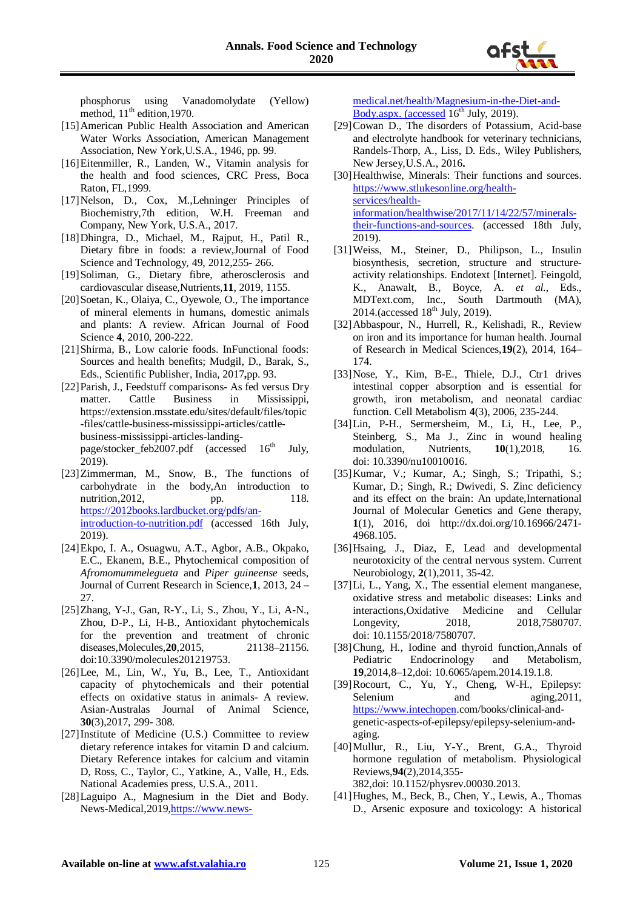phosphorus using Vanadomolydate (Yellow) method,  $11<sup>th</sup>$  edition, 1970.

- [15]American Public Health Association and American Water Works Association, American Management Association, New York,U.S.A., 1946, pp. 99.
- [16] Eitenmiller, R., Landen, W., Vitamin analysis for the health and food sciences, CRC Press, Boca Raton, FL,1999.
- [17]Nelson, D., Cox, M.,Lehninger Principles of Biochemistry,7th edition, W.H. Freeman and Company, New York, U.S.A., 2017.
- [18]Dhingra, D., Michael, M., Rajput, H., Patil R., Dietary fibre in foods: a review,Journal of Food Science and Technology, 49, 2012,255- 266.
- [19]Soliman, G., Dietary fibre, atherosclerosis and cardiovascular disease,Nutrients,**11**, 2019, 1155.
- [20] Soetan, K., Olaiya, C., Oyewole, O., The importance of mineral elements in humans, domestic animals and plants: A review. African Journal of Food Science **4**, 2010, 200-222.
- [21]Shirma, B., Low calorie foods. InFunctional foods: Sources and health benefits; Mudgil, D., Barak, S., Eds., Scientific Publisher, India, 2017**,**pp. 93.
- [22]Parish, J., Feedstuff comparisons- As fed versus Dry matter. Cattle Business in Mississippi, https://extension.msstate.edu/sites/default/files/topic -files/cattle-business-mississippi-articles/cattlebusiness-mississippi-articles-landingpage/stocker\_feb2007.pdf (accessed  $16^{th}$  July, 2019).
- [23]Zimmerman, M., Snow, B., The functions of carbohydrate in the body,An introduction to nutrition, 2012, pp. 118. [https://2012books.lardbucket.org/pdfs/an](https://2012books.lardbucket.org/pdfs/an-introduction-to-nutrition.pdf)[introduction-to-nutrition.pdf](https://2012books.lardbucket.org/pdfs/an-introduction-to-nutrition.pdf) (accessed 16th July, 2019).
- [24]Ekpo, I. A., Osuagwu, A.T., Agbor, A.B., Okpako, E.C., Ekanem, B.E., Phytochemical composition of *Afromomummelegueta* and *Piper guineense* seeds, Journal of Current Research in Science,**1**, 2013, 24 – 27.
- [25]Zhang, Y-J., Gan, R-Y., Li, S., Zhou, Y., Li, A-N., Zhou, D-P., Li, H-B., Antioxidant phytochemicals for the prevention and treatment of chronic diseases,Molecules,**20**,2015, 21138–21156. doi:10.3390/molecules201219753.
- [26]Lee, M., Lin, W., Yu, B., Lee, T., Antioxidant capacity of phytochemicals and their potential effects on oxidative status in animals- A review. Asian-Australas Journal of Animal Science, **30**(3),2017, 299- 308.
- [27]Institute of Medicine (U.S.) Committee to review dietary reference intakes for vitamin D and calcium. Dietary Reference intakes for calcium and vitamin D, Ross, C., Taylor, C., Yatkine, A., Valle, H., Eds. National Academies press, U.S.A., 2011.
- [28]Laguipo A., Magnesium in the Diet and Body. News-Medical,2019[,https://www.news-](https://www.news-medical.net/health/Magnesium-in-the-Diet-and-Body.aspx.%20(accessed)

[medical.net/health/Magnesium-in-the-Diet-and-](https://www.news-medical.net/health/Magnesium-in-the-Diet-and-Body.aspx.%20(accessed)[Body.aspx. \(accessed](https://www.news-medical.net/health/Magnesium-in-the-Diet-and-Body.aspx.%20(accessed)  $16^{th}$  July, 2019).

- $[29]$ Cowan D., The disorders of Potassium, Acid-base and electrolyte handbook for veterinary technicians, Randels-Thorp, A., Liss, D. Eds., Wiley Publishers, New Jersey,U.S.A., 2016**.**
- [30] Healthwise, Minerals: Their functions and sources. [https://www.stlukesonline.org/health](https://www.stlukesonline.org/health-services/health-information/healthwise/2017/11/14/22/57/minerals-their-functions-and-sources)[services/health](https://www.stlukesonline.org/health-services/health-information/healthwise/2017/11/14/22/57/minerals-their-functions-and-sources)[information/healthwise/2017/11/14/22/57/minerals](https://www.stlukesonline.org/health-services/health-information/healthwise/2017/11/14/22/57/minerals-their-functions-and-sources)[their-functions-and-sources.](https://www.stlukesonline.org/health-services/health-information/healthwise/2017/11/14/22/57/minerals-their-functions-and-sources) (accessed 18th July, 2019).
- [31]Weiss, M., Steiner, D., Philipson, L., Insulin biosynthesis, secretion, structure and structureactivity relationships. Endotext [Internet]. Feingold, K., Anawalt, B., Boyce, A. *et al.*, Eds., MDText.com, Inc., South Dartmouth (MA),  $2014$ . (accessed  $18<sup>th</sup>$  July, 2019).
- [32]Abbaspour, N., Hurrell, R., Kelishadi, R., Review on iron and its importance for human health. Journal of Research in Medical Sciences,**19**(2), 2014, 164– 174.
- [33]Nose, Y., Kim, B-E., Thiele, D.J., Ctr1 drives intestinal copper absorption and is essential for growth, iron metabolism, and neonatal cardiac function. Cell Metabolism **4**(3), 2006, 235-244.
- [34]Lin, P-H., Sermersheim, M., Li, H., Lee, P., Steinberg, S., Ma J., Zinc in wound healing modulation, Nutrients, **10**(1),2018, 16. doi: 10.3390/nu10010016.
- [35]Kumar, V.; Kumar, A.; Singh, S.; Tripathi, S.; Kumar, D.; Singh, R.; Dwivedi, S. Zinc deficiency and its effect on the brain: An update,International Journal of Molecular Genetics and Gene therapy, **1**(1), 2016, doi http://dx.doi.org/10.16966/2471- 4968.105.
- [36]Hsaing, J., Diaz, E, Lead and developmental neurotoxicity of the central nervous system. Current Neurobiology, **2**(1),2011, 35-42.
- [37]Li, L., Yang, X., The essential element manganese, oxidative stress and metabolic diseases: Links and interactions,Oxidative Medicine and Cellular Longevity, 2018, 2018, 2018, 2020 doi: 10.1155/2018/7580707.
- [38]Chung, H., Iodine and thyroid function,Annals of Pediatric Endocrinology and Metabolism, **19**,2014,8–12,doi: 10.6065/apem.2014.19.1.8.
- [39]Rocourt, C., Yu, Y., Cheng, W-H., Epilepsy: Selenium and aging, 2011. [https://www.intechopen.](https://www.intechopen/)com/books/clinical-andgenetic-aspects-of-epilepsy/epilepsy-selenium-andaging.
- [40]Mullur, R., Liu, Y-Y., Brent, G.A., Thyroid hormone regulation of metabolism. Physiological Reviews,**94**(2),2014,355- 382,doi: 10.1152/physrev.00030.2013.
- [41]Hughes, M., Beck, B., Chen, Y., Lewis, A., Thomas D., Arsenic exposure and toxicology: A historical